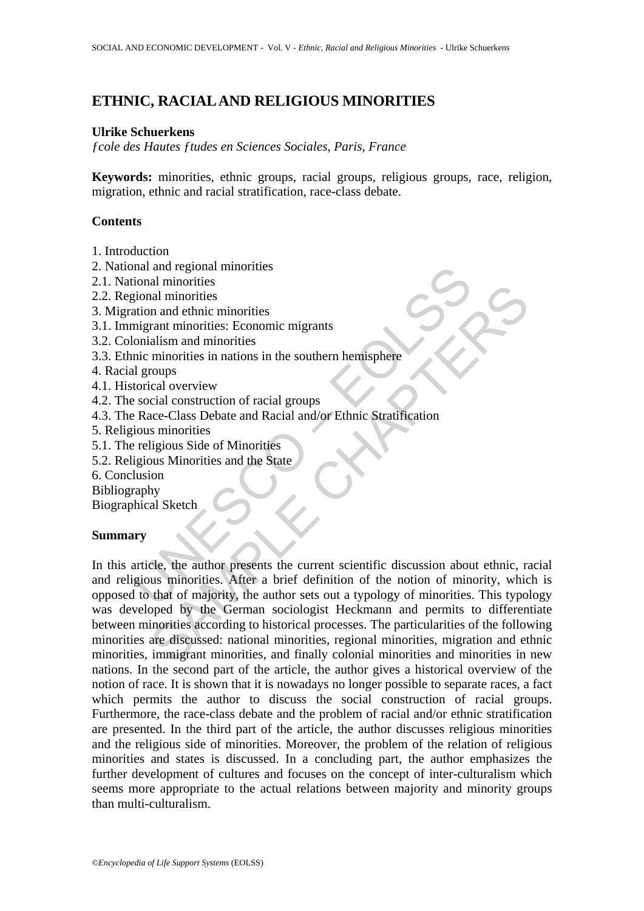# **ETHNIC, RACIAL AND RELIGIOUS MINORITIES**

### **Ulrike Schuerkens**

*ƒcole des Hautes ƒtudes en Sciences Sociales, Paris, France* 

**Keywords:** minorities, ethnic groups, racial groups, religious groups, race, religion, migration, ethnic and racial stratification, race-class debate.

## **Contents**

- 1. Introduction
- 2. National and regional minorities
- 2.1. National minorities
- 2.2. Regional minorities
- 3. Migration and ethnic minorities
- 3.1. Immigrant minorities: Economic migrants
- 3.2. Colonialism and minorities
- 3.3. Ethnic minorities in nations in the southern hemisphere
- 4. Racial groups
- 4.1. Historical overview
- 4.2. The social construction of racial groups
- 4.3. The Race-Class Debate and Racial and/or Ethnic Stratification
- 5. Religious minorities
- 5.1. The religious Side of Minorities
- 5.2. Religious Minorities and the State
- 6. Conclusion
- Bibliography

Biographical Sketch

#### **Summary**

mal and regional minorities<br>
iolonal minorities<br>
gional minorities<br>
ation and ethnic minorities<br>
ation and ethnic minorities<br>
ingrant minorities<br>
inclusion<br>
torical overview<br>
torical overview<br>
social construction of racial The minimal minimal minimal minimal minimal minimal minimal minimal minimal minimal minimal minimal minimal minimal minimal minimal minimal minimal minimal minimal means call overview call overview<br>call construction of rac In this article, the author presents the current scientific discussion about ethnic, racial and religious minorities. After a brief definition of the notion of minority, which is opposed to that of majority, the author sets out a typology of minorities. This typology was developed by the German sociologist Heckmann and permits to differentiate between minorities according to historical processes. The particularities of the following minorities are discussed: national minorities, regional minorities, migration and ethnic minorities, immigrant minorities, and finally colonial minorities and minorities in new nations. In the second part of the article, the author gives a historical overview of the notion of race. It is shown that it is nowadays no longer possible to separate races, a fact which permits the author to discuss the social construction of racial groups. Furthermore, the race-class debate and the problem of racial and/or ethnic stratification are presented. In the third part of the article, the author discusses religious minorities and the religious side of minorities. Moreover, the problem of the relation of religious minorities and states is discussed. In a concluding part, the author emphasizes the further development of cultures and focuses on the concept of inter-culturalism which seems more appropriate to the actual relations between majority and minority groups than multi-culturalism.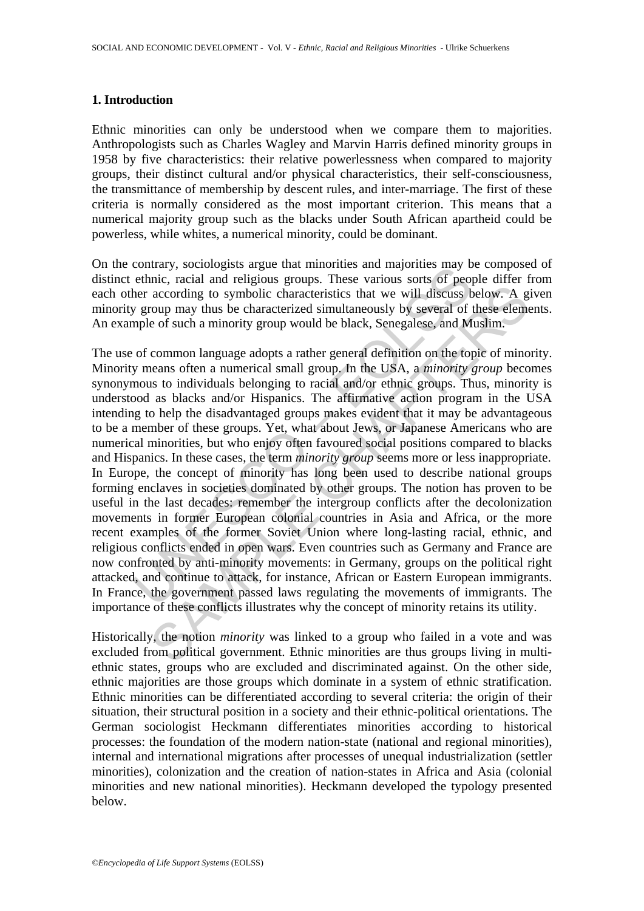#### **1. Introduction**

Ethnic minorities can only be understood when we compare them to majorities. Anthropologists such as Charles Wagley and Marvin Harris defined minority groups in 1958 by five characteristics: their relative powerlessness when compared to majority groups, their distinct cultural and/or physical characteristics, their self-consciousness, the transmittance of membership by descent rules, and inter-marriage. The first of these criteria is normally considered as the most important criterion. This means that a numerical majority group such as the blacks under South African apartheid could be powerless, while whites, a numerical minority, could be dominant.

On the contrary, sociologists argue that minorities and majorities may be composed of distinct ethnic, racial and religious groups. These various sorts of people differ from each other according to symbolic characteristics that we will discuss below. A given minority group may thus be characterized simultaneously by several of these elements. An example of such a minority group would be black, Senegalese, and Muslim.

contrary, sociologies argue tard immorties and magnities large to enthic, racial and religious groups. These various sorts of peopler according to symbolic characteristics that we will discuss by group may thus be characte according to symbolic characteristics that we will discuss below. A group may thus be characteristics that we will discuss below. A group may thus be characterized simultaneously by several of these eleme of such a minorit The use of common language adopts a rather general definition on the topic of minority. Minority means often a numerical small group. In the USA, a *minority group* becomes synonymous to individuals belonging to racial and/or ethnic groups. Thus, minority is understood as blacks and/or Hispanics. The affirmative action program in the USA intending to help the disadvantaged groups makes evident that it may be advantageous to be a member of these groups. Yet, what about Jews, or Japanese Americans who are numerical minorities, but who enjoy often favoured social positions compared to blacks and Hispanics. In these cases, the term *minority group* seems more or less inappropriate. In Europe, the concept of minority has long been used to describe national groups forming enclaves in societies dominated by other groups. The notion has proven to be useful in the last decades: remember the intergroup conflicts after the decolonization movements in former European colonial countries in Asia and Africa, or the more recent examples of the former Soviet Union where long-lasting racial, ethnic, and religious conflicts ended in open wars. Even countries such as Germany and France are now confronted by anti-minority movements: in Germany, groups on the political right attacked, and continue to attack, for instance, African or Eastern European immigrants. In France, the government passed laws regulating the movements of immigrants. The importance of these conflicts illustrates why the concept of minority retains its utility.

Historically, the notion *minority* was linked to a group who failed in a vote and was excluded from political government. Ethnic minorities are thus groups living in multiethnic states, groups who are excluded and discriminated against. On the other side, ethnic majorities are those groups which dominate in a system of ethnic stratification. Ethnic minorities can be differentiated according to several criteria: the origin of their situation, their structural position in a society and their ethnic-political orientations. The German sociologist Heckmann differentiates minorities according to historical processes: the foundation of the modern nation-state (national and regional minorities), internal and international migrations after processes of unequal industrialization (settler minorities), colonization and the creation of nation-states in Africa and Asia (colonial minorities and new national minorities). Heckmann developed the typology presented below.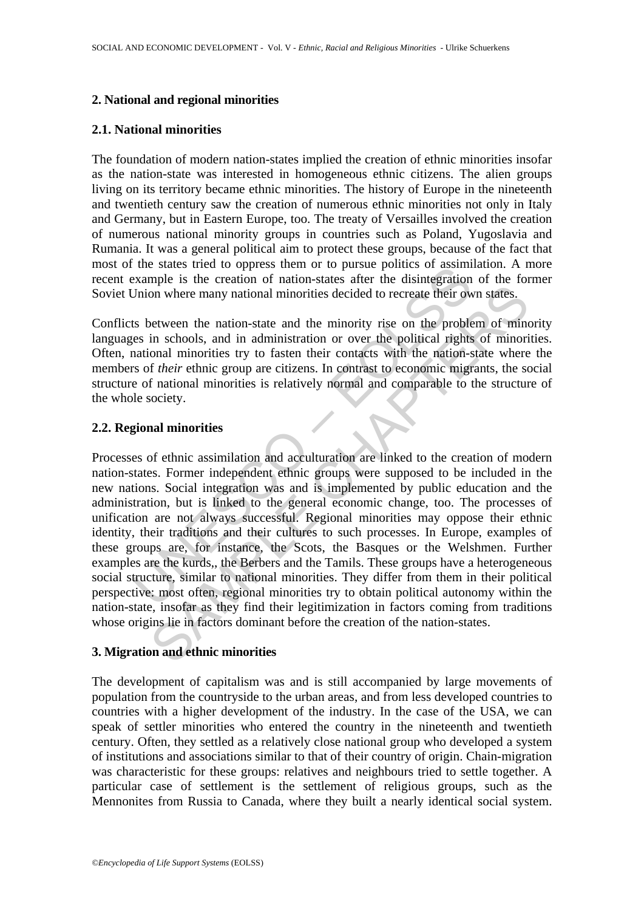### **2. National and regional minorities**

#### **2.1. National minorities**

The foundation of modern nation-states implied the creation of ethnic minorities insofar as the nation-state was interested in homogeneous ethnic citizens. The alien groups living on its territory became ethnic minorities. The history of Europe in the nineteenth and twentieth century saw the creation of numerous ethnic minorities not only in Italy and Germany, but in Eastern Europe, too. The treaty of Versailles involved the creation of numerous national minority groups in countries such as Poland, Yugoslavia and Rumania. It was a general political aim to protect these groups, because of the fact that most of the states tried to oppress them or to pursue politics of assimilation. A more recent example is the creation of nation-states after the disintegration of the former Soviet Union where many national minorities decided to recreate their own states.

Conflicts between the nation-state and the minority rise on the problem of minority languages in schools, and in administration or over the political rights of minorities. Often, national minorities try to fasten their contacts with the nation-state where the members of *their* ethnic group are citizens. In contrast to economic migrants, the social structure of national minorities is relatively normal and comparable to the structure of the whole society.

### **2.2. Regional minorities**

the states the creation of nation-states after the distingation<br>example is the creation of nation-states after the disintegration<br>Dinon where many national minorities decided to recreate their own<br>shows the mation-state an on where many national minorities decided to recreate their own states.<br>
non where many national minorities decided to recreate their own states.<br>
Determines the mation-state and the minority rise on the problem of minor<br> Processes of ethnic assimilation and acculturation are linked to the creation of modern nation-states. Former independent ethnic groups were supposed to be included in the new nations. Social integration was and is implemented by public education and the administration, but is linked to the general economic change, too. The processes of unification are not always successful. Regional minorities may oppose their ethnic identity, their traditions and their cultures to such processes. In Europe, examples of these groups are, for instance, the Scots, the Basques or the Welshmen. Further examples are the kurds,, the Berbers and the Tamils. These groups have a heterogeneous social structure, similar to national minorities. They differ from them in their political perspective: most often, regional minorities try to obtain political autonomy within the nation-state, insofar as they find their legitimization in factors coming from traditions whose origins lie in factors dominant before the creation of the nation-states.

### **3. Migration and ethnic minorities**

The development of capitalism was and is still accompanied by large movements of population from the countryside to the urban areas, and from less developed countries to countries with a higher development of the industry. In the case of the USA, we can speak of settler minorities who entered the country in the nineteenth and twentieth century. Often, they settled as a relatively close national group who developed a system of institutions and associations similar to that of their country of origin. Chain-migration was characteristic for these groups: relatives and neighbours tried to settle together. A particular case of settlement is the settlement of religious groups, such as the Mennonites from Russia to Canada, where they built a nearly identical social system.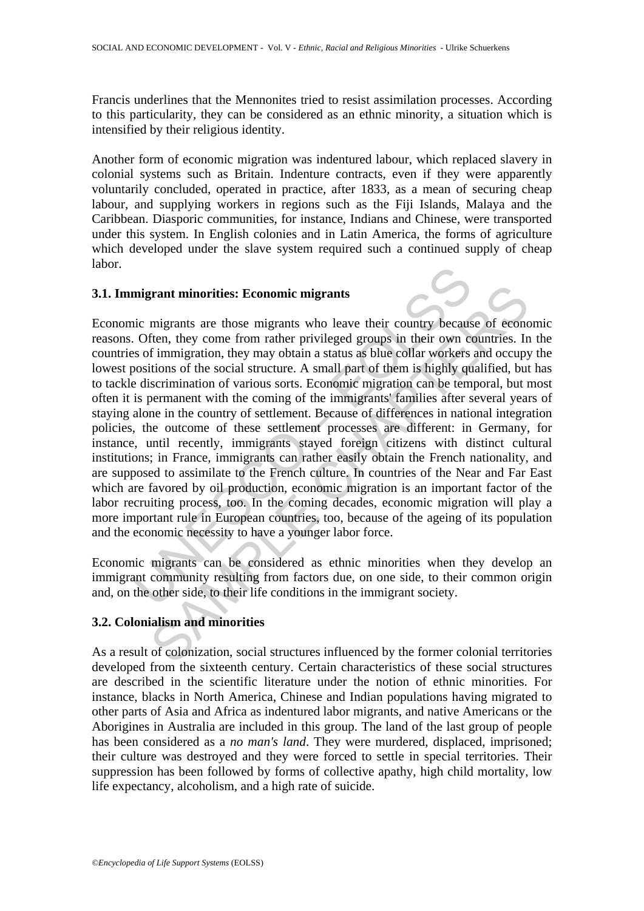Francis underlines that the Mennonites tried to resist assimilation processes. According to this particularity, they can be considered as an ethnic minority, a situation which is intensified by their religious identity.

Another form of economic migration was indentured labour, which replaced slavery in colonial systems such as Britain. Indenture contracts, even if they were apparently voluntarily concluded, operated in practice, after 1833, as a mean of securing cheap labour, and supplying workers in regions such as the Fiji Islands, Malaya and the Caribbean. Diasporic communities, for instance, Indians and Chinese, were transported under this system. In English colonies and in Latin America, the forms of agriculture which developed under the slave system required such a continued supply of cheap labor.

#### **3.1. Immigrant minorities: Economic migrants**

migrant minorities: Economic migrants<br>nic migrants are those migrants who leave their country becaus<br>of endimigration, they may obtain a status as blue collar workers<br>of immigration, they may obtain a status as blue collar **grant minorities: Economic migrants**<br>migrants me migrants who leave their country because of econo<br>fren, they come from rather privileged groups in their own countries. In<br>f immigration, they may obtain a status as blue c Economic migrants are those migrants who leave their country because of economic reasons. Often, they come from rather privileged groups in their own countries. In the countries of immigration, they may obtain a status as blue collar workers and occupy the lowest positions of the social structure. A small part of them is highly qualified, but has to tackle discrimination of various sorts. Economic migration can be temporal, but most often it is permanent with the coming of the immigrants' families after several years of staying alone in the country of settlement. Because of differences in national integration policies, the outcome of these settlement processes are different: in Germany, for instance, until recently, immigrants stayed foreign citizens with distinct cultural institutions; in France, immigrants can rather easily obtain the French nationality, and are supposed to assimilate to the French culture. In countries of the Near and Far East which are favored by oil production, economic migration is an important factor of the labor recruiting process, too. In the coming decades, economic migration will play a more important rule in European countries, too, because of the ageing of its population and the economic necessity to have a younger labor force.

Economic migrants can be considered as ethnic minorities when they develop an immigrant community resulting from factors due, on one side, to their common origin and, on the other side, to their life conditions in the immigrant society.

# **3.2. Colonialism and minorities**

As a result of colonization, social structures influenced by the former colonial territories developed from the sixteenth century. Certain characteristics of these social structures are described in the scientific literature under the notion of ethnic minorities. For instance, blacks in North America, Chinese and Indian populations having migrated to other parts of Asia and Africa as indentured labor migrants, and native Americans or the Aborigines in Australia are included in this group. The land of the last group of people has been considered as a *no man's land*. They were murdered, displaced, imprisoned; their culture was destroyed and they were forced to settle in special territories. Their suppression has been followed by forms of collective apathy, high child mortality, low life expectancy, alcoholism, and a high rate of suicide.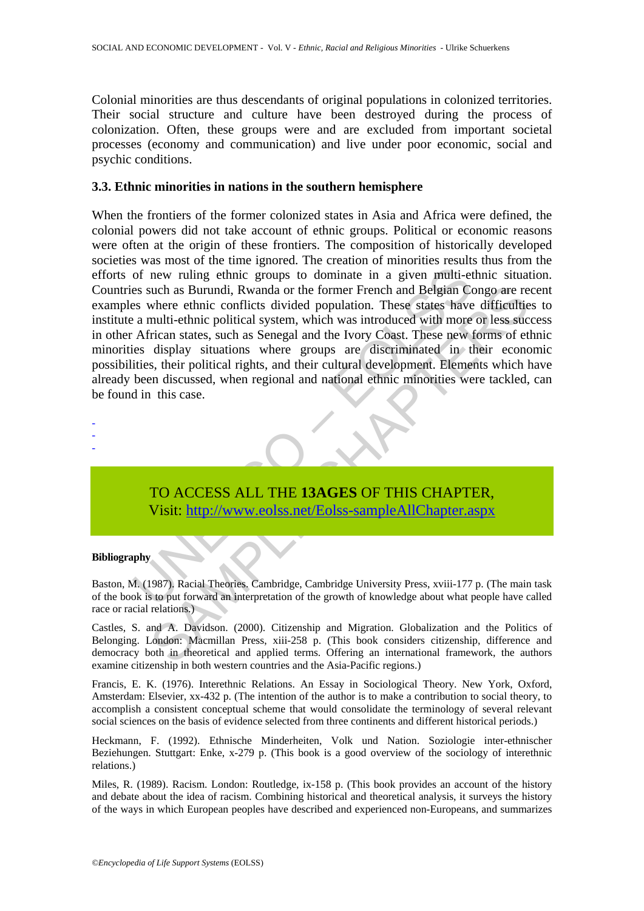Colonial minorities are thus descendants of original populations in colonized territories. Their social structure and culture have been destroyed during the process of colonization. Often, these groups were and are excluded from important societal processes (economy and communication) and live under poor economic, social and psychic conditions.

#### **3.3. Ethnic minorities in nations in the southern hemisphere**

of new ruling ethnic groups to dominate in a given multi-ete such as Burundi, Rwanda or the former French and Belgian Ces where ethnic conflicts divided population. These states have a multi-ethnic political system, which such as Burundi, Rwanda or the former French and Belgian Congo are re-<br>where ethnic conflicts divided population. These states have difficulties<br>multi-ethnic political system, which was introduced with more or less such<br>ir When the frontiers of the former colonized states in Asia and Africa were defined, the colonial powers did not take account of ethnic groups. Political or economic reasons were often at the origin of these frontiers. The composition of historically developed societies was most of the time ignored. The creation of minorities results thus from the efforts of new ruling ethnic groups to dominate in a given multi-ethnic situation. Countries such as Burundi, Rwanda or the former French and Belgian Congo are recent examples where ethnic conflicts divided population. These states have difficulties to institute a multi-ethnic political system, which was introduced with more or less success in other African states, such as Senegal and the Ivory Coast. These new forms of ethnic minorities display situations where groups are discriminated in their economic possibilities, their political rights, and their cultural development. Elements which have already been discussed, when regional and national ethnic minorities were tackled, can be found in this case.

- -

-

TO ACCESS ALL THE **13AGES** OF THIS CHAPTER, Visit: http://www.eolss.net/Eolss-sampleAllChapter.aspx

#### **Bibliography**

Baston, M. (1987). Racial Theories. Cambridge, Cambridge University Press, xviii-177 p. (The main task of the book is to put forward an interpretation of the growth of knowledge about what people have called race or racial relations.)

Castles, S. and A. Davidson. (2000). Citizenship and Migration. Globalization and the Politics of Belonging. London: Macmillan Press, xiii-258 p. (This book considers citizenship, difference and democracy both in theoretical and applied terms. Offering an international framework, the authors examine citizenship in both western countries and the Asia-Pacific regions.)

Francis, E. K. (1976). Interethnic Relations. An Essay in Sociological Theory. New York, Oxford, Amsterdam: Elsevier, xx-432 p. (The intention of the author is to make a contribution to social theory, to accomplish a consistent conceptual scheme that would consolidate the terminology of several relevant social sciences on the basis of evidence selected from three continents and different historical periods.)

Heckmann, F. (1992). Ethnische Minderheiten, Volk und Nation. Soziologie inter-ethnischer Beziehungen. Stuttgart: Enke, x-279 p. (This book is a good overview of the sociology of interethnic relations.)

Miles, R. (1989). Racism. London: Routledge, ix-158 p. (This book provides an account of the history and debate about the idea of racism. Combining historical and theoretical analysis, it surveys the history of the ways in which European peoples have described and experienced non-Europeans, and summarizes